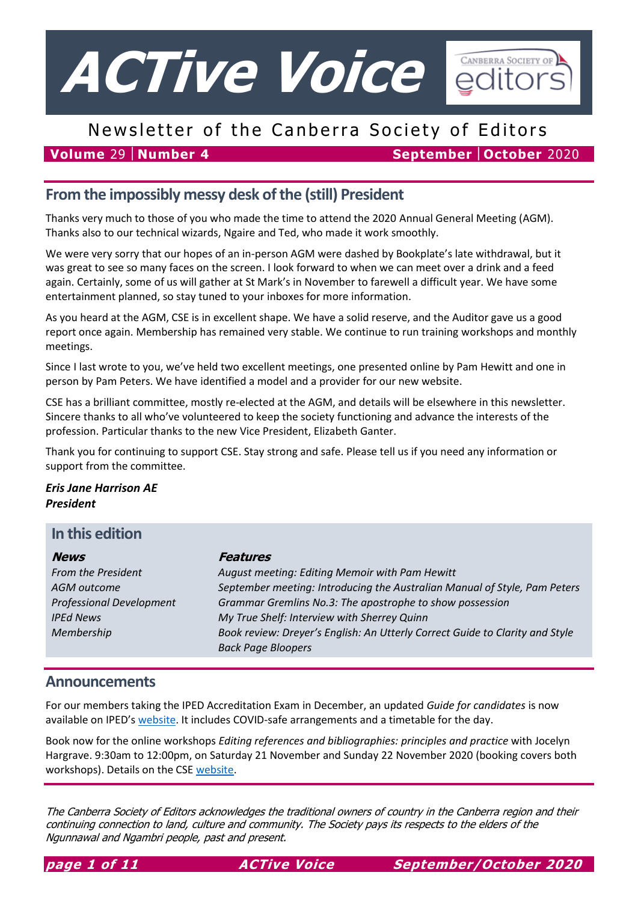

# Newsletter of the Canberra Society of Editors

**Volume** 29 **Number 4 September October** 2020

## **From the impossibly messy desk of the (still) President**

Thanks very much to those of you who made the time to attend the 2020 Annual General Meeting (AGM). Thanks also to our technical wizards, Ngaire and Ted, who made it work smoothly.

We were very sorry that our hopes of an in-person AGM were dashed by Bookplate's late withdrawal, but it was great to see so many faces on the screen. I look forward to when we can meet over a drink and a feed again. Certainly, some of us will gather at St Mark's in November to farewell a difficult year. We have some entertainment planned, so stay tuned to your inboxes for more information.

As you heard at the AGM, CSE is in excellent shape. We have a solid reserve, and the Auditor gave us a good report once again. Membership has remained very stable. We continue to run training workshops and monthly meetings.

Since I last wrote to you, we've held two excellent meetings, one presented online by Pam Hewitt and one in person by Pam Peters. We have identified a model and a provider for our new website.

CSE has a brilliant committee, mostly re-elected at the AGM, and details will be elsewhere in this newsletter. Sincere thanks to all who've volunteered to keep the society functioning and advance the interests of the profession. Particular thanks to the new Vice President, Elizabeth Ganter.

Thank you for continuing to support CSE. Stay strong and safe. Please tell us if you need any information or support from the committee.

*Eris Jane Harrison AE President*

### **In this edition**

| <b>News</b>                     | Features                                                                     |  |
|---------------------------------|------------------------------------------------------------------------------|--|
| From the President              | August meeting: Editing Memoir with Pam Hewitt                               |  |
| AGM outcome                     | September meeting: Introducing the Australian Manual of Style, Pam Peters    |  |
| <b>Professional Development</b> | Grammar Gremlins No.3: The apostrophe to show possession                     |  |
| <b>IPEd News</b>                | My True Shelf: Interview with Sherrey Quinn                                  |  |
| Membership                      | Book review: Dreyer's English: An Utterly Correct Guide to Clarity and Style |  |
|                                 | <b>Back Page Bloopers</b>                                                    |  |

### **Announcements**

For our members taking the IPED Accreditation Exam in December, an updated *Guide for candidates* is now available on IPED's [website.](http://iped-editors.org/Accreditation/accreditation_exam/Guidelines_for_candidates.aspx) It includes COVID-safe arrangements and a timetable for the day.

Book now for the online workshops *Editing references and bibliographies: principles and practice* with Jocelyn Hargrave. 9:30am to 12:00pm, on Saturday 21 November and Sunday 22 November 2020 (booking covers both workshops). Details on the CSE [website.](http://www.editorscanberra.org/editing-references-and-bibliographies-principles-and-practice/)

The Canberra Society of Editors acknowledges the traditional owners of country in the Canberra region and their continuing connection to land, culture and community. The Society pays its respects to the elders of the Ngunnawal and Ngambri people, past and present.

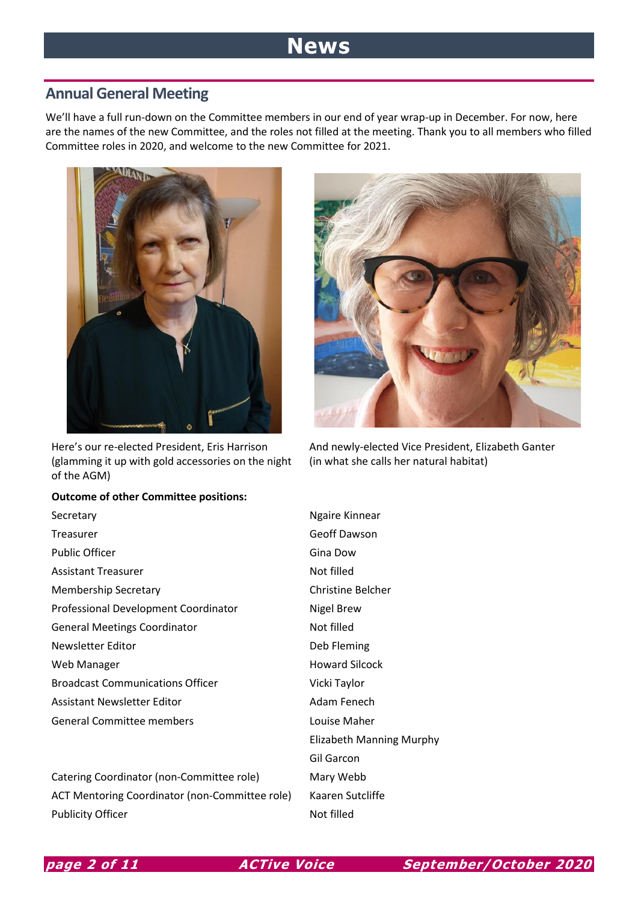# **News**

### **Annual General Meeting**

We'll have a full run-down on the Committee members in our end of year wrap-up in December. For now, here are the names of the new Committee, and the roles not filled at the meeting. Thank you to all members who filled Committee roles in 2020, and welcome to the new Committee for 2021.



Here's our re-elected President, Eris Harrison (glamming it up with gold accessories on the night of the AGM)

#### **Outcome of other Committee positions:**



Catering Coordinator (non-Committee role) Mary Webb ACT Mentoring Coordinator (non-Committee role) Kaaren Sutcliffe Publicity Officer Not filled



And newly-elected Vice President, Elizabeth Ganter (in what she calls her natural habitat)

Elizabeth Manning Murphy Gil Garcon

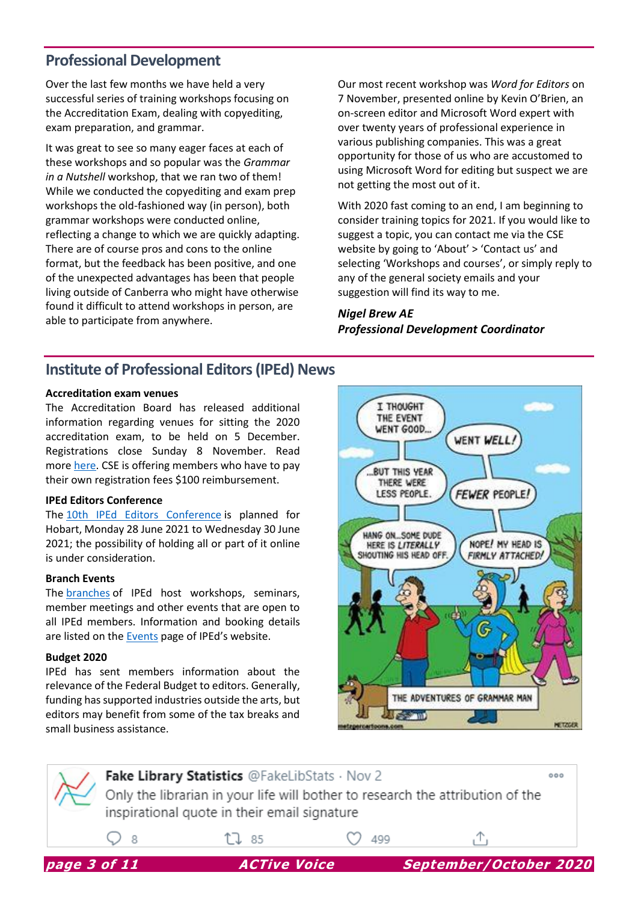### **Professional Development**

Over the last few months we have held a very successful series of training workshops focusing on the Accreditation Exam, dealing with copyediting, exam preparation, and grammar.

It was great to see so many eager faces at each of these workshops and so popular was the *Grammar in a Nutshell* workshop, that we ran two of them! While we conducted the copyediting and exam prep workshops the old-fashioned way (in person), both grammar workshops were conducted online, reflecting a change to which we are quickly adapting. There are of course pros and cons to the online format, but the feedback has been positive, and one of the unexpected advantages has been that people living outside of Canberra who might have otherwise found it difficult to attend workshops in person, are able to participate from anywhere.

Our most recent workshop was *Word for Editors* on 7 November, presented online by Kevin O'Brien, an on-screen editor and Microsoft Word expert with over twenty years of professional experience in various publishing companies. This was a great opportunity for those of us who are accustomed to using Microsoft Word for editing but suspect we are not getting the most out of it.

With 2020 fast coming to an end, I am beginning to consider training topics for 2021. If you would like to suggest a topic, you can contact me via the CSE website by going to 'About' > 'Contact us' and selecting 'Workshops and courses', or simply reply to any of the general society emails and your suggestion will find its way to me.

### *Nigel Brew AE Professional Development Coordinator*

### **Institute of Professional Editors (IPEd) News**

#### **Accreditation exam venues**

The Accreditation Board has released additional information regarding venues for sitting the 2020 accreditation exam, to be held on 5 December. Registrations close Sunday 8 November. Read more [here.](http://iped-editors.org/Accreditation/accreditation_exam/exam_registration.aspx) CSE is offering members who have to pay their own registration fees \$100 reimbursement.

#### **IPEd Editors Conference**

The [10th IPEd Editors](https://iped2021.org.au/) Conference is planned for Hobart, Monday 28 June 2021 to Wednesday 30 June 2021; the possibility of holding all or part of it online is under consideration.

#### **Branch Events**

The [branches](http://iped-editors.org/Branches.aspx) of IPEd host workshops, seminars, member meetings and other events that are open to all IPEd members. Information and booking details are listed on the [Events](http://iped-editors.org/Professional_development/Events.aspx) page of IPEd's website.

#### **Budget 2020**

IPEd has sent members information about the relevance of the Federal Budget to editors. Generally, funding has supported industries outside the arts, but editors may benefit from some of the tax breaks and small business assistance.



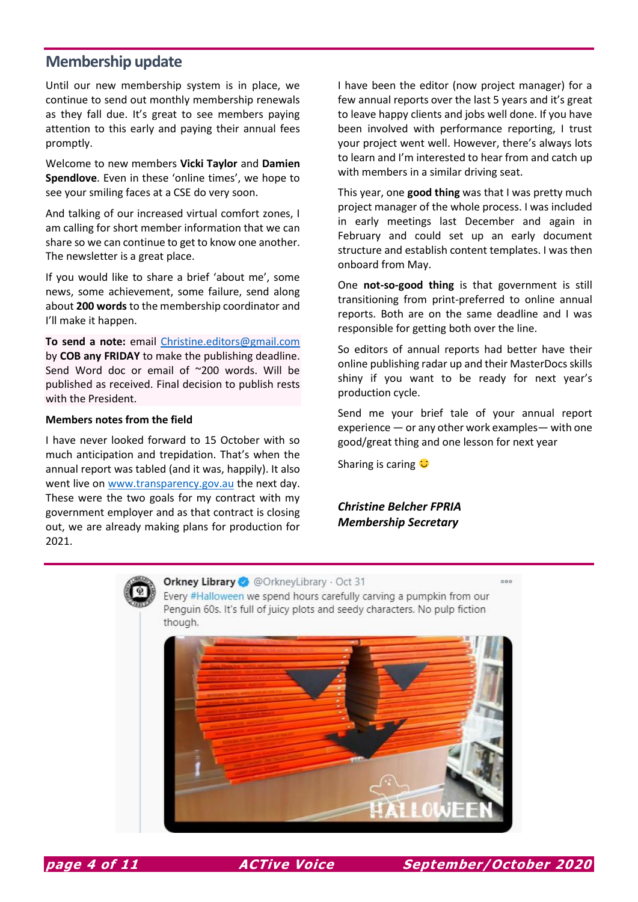### **Membership update**

Until our new membership system is in place, we continue to send out monthly membership renewals as they fall due. It's great to see members paying attention to this early and paying their annual fees promptly.

Welcome to new members **Vicki Taylor** and **Damien Spendlove**. Even in these 'online times', we hope to see your smiling faces at a CSE do very soon.

And talking of our increased virtual comfort zones, I am calling for short member information that we can share so we can continue to get to know one another. The newsletter is a great place.

If you would like to share a brief 'about me', some news, some achievement, some failure, send along about **200 words** to the membership coordinator and I'll make it happen.

**To send a note:** email [Christine.editors@gmail.com](mailto:Christine.editors@gmail.com) by **COB any FRIDAY** to make the publishing deadline. Send Word doc or email of ~200 words. Will be published as received. Final decision to publish rests with the President.

#### **Members notes from the field**

I have never looked forward to 15 October with so much anticipation and trepidation. That's when the annual report was tabled (and it was, happily). It also went live o[n www.transparency.gov.au](http://www.transparency.gov.au/) the next day. These were the two goals for my contract with my government employer and as that contract is closing out, we are already making plans for production for 2021.

I have been the editor (now project manager) for a few annual reports over the last 5 years and it's great to leave happy clients and jobs well done. If you have been involved with performance reporting, I trust your project went well. However, there's always lots to learn and I'm interested to hear from and catch up with members in a similar driving seat.

This year, one **good thing** was that I was pretty much project manager of the whole process. I was included in early meetings last December and again in February and could set up an early document structure and establish content templates. I was then onboard from May.

One **not-so-good thing** is that government is still transitioning from print-preferred to online annual reports. Both are on the same deadline and I was responsible for getting both over the line.

So editors of annual reports had better have their online publishing radar up and their MasterDocs skills shiny if you want to be ready for next year's production cycle.

Send me your brief tale of your annual report experience — or any other work examples— with one good/great thing and one lesson for next year

Sharing is caring  $\mathbf C$ 

*Christine Belcher FPRIA Membership Secretary*



Orkney Library @ @OrkneyLibrary · Oct 31

Every #Halloween we spend hours carefully carving a pumpkin from our Penguin 60s. It's full of juicy plots and seedy characters. No pulp fiction though.





 $000$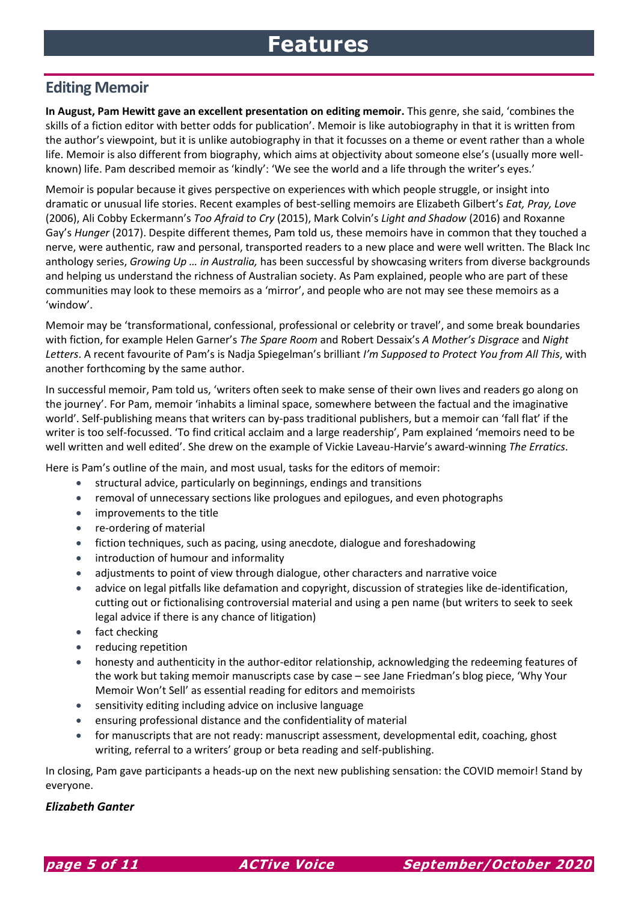# **Features**

### **Editing Memoir**

**In August, Pam Hewitt gave an excellent presentation on editing memoir.** This genre, she said, 'combines the skills of a fiction editor with better odds for publication'. Memoir is like autobiography in that it is written from the author's viewpoint, but it is unlike autobiography in that it focusses on a theme or event rather than a whole life. Memoir is also different from biography, which aims at objectivity about someone else's (usually more wellknown) life. Pam described memoir as 'kindly': 'We see the world and a life through the writer's eyes.'

Memoir is popular because it gives perspective on experiences with which people struggle, or insight into dramatic or unusual life stories. Recent examples of best-selling memoirs are Elizabeth Gilbert's *Eat, Pray, Love* (2006), Ali Cobby Eckermann's *Too Afraid to Cry* (2015), Mark Colvin's *Light and Shadow* (2016) and Roxanne Gay's *Hunger* (2017). Despite different themes, Pam told us, these memoirs have in common that they touched a nerve, were authentic, raw and personal, transported readers to a new place and were well written. The Black Inc anthology series, *Growing Up … in Australia,* has been successful by showcasing writers from diverse backgrounds and helping us understand the richness of Australian society. As Pam explained, people who are part of these communities may look to these memoirs as a 'mirror', and people who are not may see these memoirs as a 'window'.

Memoir may be 'transformational, confessional, professional or celebrity or travel', and some break boundaries with fiction, for example Helen Garner's *The Spare Room* and Robert Dessaix's *A Mother's Disgrace* and *Night Letters*. A recent favourite of Pam's is Nadja Spiegelman's brilliant *I'm Supposed to Protect You from All This*, with another forthcoming by the same author.

In successful memoir, Pam told us, 'writers often seek to make sense of their own lives and readers go along on the journey'. For Pam, memoir 'inhabits a liminal space, somewhere between the factual and the imaginative world'. Self-publishing means that writers can by-pass traditional publishers, but a memoir can 'fall flat' if the writer is too self-focussed. 'To find critical acclaim and a large readership', Pam explained 'memoirs need to be well written and well edited'. She drew on the example of Vickie Laveau-Harvie's award-winning *The Erratics*.

Here is Pam's outline of the main, and most usual, tasks for the editors of memoir:

- structural advice, particularly on beginnings, endings and transitions
- removal of unnecessary sections like prologues and epilogues, and even photographs
- improvements to the title
- re-ordering of material
- fiction techniques, such as pacing, using anecdote, dialogue and foreshadowing
- introduction of humour and informality
- adjustments to point of view through dialogue, other characters and narrative voice
- advice on legal pitfalls like defamation and copyright, discussion of strategies like de-identification, cutting out or fictionalising controversial material and using a pen name (but writers to seek to seek legal advice if there is any chance of litigation)
- fact checking
- reducing repetition
- honesty and authenticity in the author-editor relationship, acknowledging the redeeming features of the work but taking memoir manuscripts case by case – see Jane Friedman's blog piece, 'Why Your Memoir Won't Sell' as essential reading for editors and memoirists
- sensitivity editing including advice on inclusive language
- ensuring professional distance and the confidentiality of material
- for manuscripts that are not ready: manuscript assessment, developmental edit, coaching, ghost writing, referral to a writers' group or beta reading and self-publishing.

In closing, Pam gave participants a heads-up on the next new publishing sensation: the COVID memoir! Stand by everyone.

#### *Elizabeth Ganter*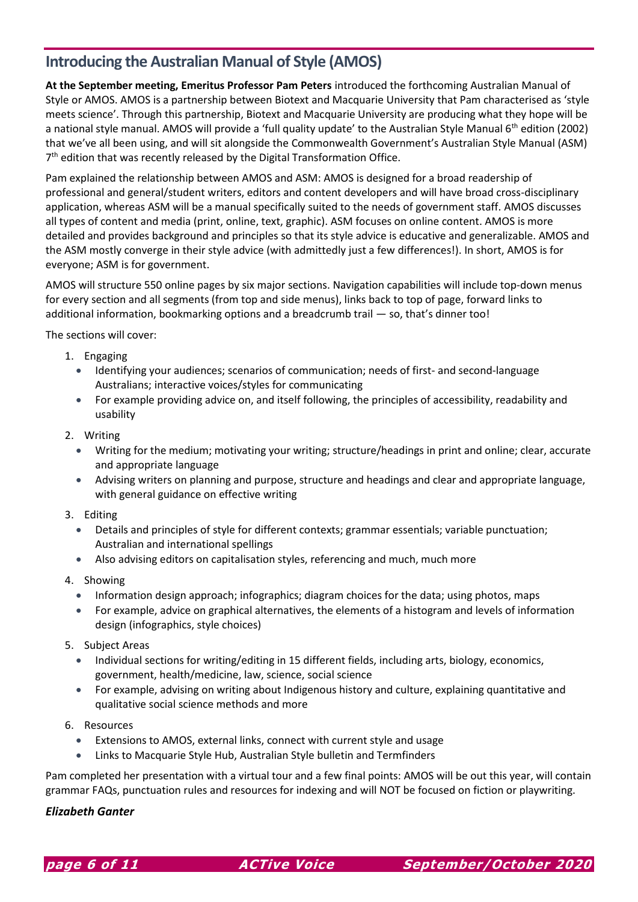### **Introducing the Australian Manual of Style (AMOS)**

**At the September meeting, Emeritus Professor Pam Peters** introduced the forthcoming Australian Manual of Style or AMOS. AMOS is a partnership between Biotext and Macquarie University that Pam characterised as 'style meets science'. Through this partnership, Biotext and Macquarie University are producing what they hope will be a national style manual. AMOS will provide a 'full quality update' to the Australian Style Manual 6th edition (2002) that we've all been using, and will sit alongside the Commonwealth Government's Australian Style Manual (ASM) 7<sup>th</sup> edition that was recently released by the Digital Transformation Office.

Pam explained the relationship between AMOS and ASM: AMOS is designed for a broad readership of professional and general/student writers, editors and content developers and will have broad cross-disciplinary application, whereas ASM will be a manual specifically suited to the needs of government staff. AMOS discusses all types of content and media (print, online, text, graphic). ASM focuses on online content. AMOS is more detailed and provides background and principles so that its style advice is educative and generalizable. AMOS and the ASM mostly converge in their style advice (with admittedly just a few differences!). In short, AMOS is for everyone; ASM is for government.

AMOS will structure 550 online pages by six major sections. Navigation capabilities will include top-down menus for every section and all segments (from top and side menus), links back to top of page, forward links to additional information, bookmarking options and a breadcrumb trail — so, that's dinner too!

The sections will cover:

- 1. Engaging
	- Identifying your audiences; scenarios of communication; needs of first- and second-language Australians; interactive voices/styles for communicating
	- For example providing advice on, and itself following, the principles of accessibility, readability and usability
- 2. Writing
	- Writing for the medium; motivating your writing; structure/headings in print and online; clear, accurate and appropriate language
	- Advising writers on planning and purpose, structure and headings and clear and appropriate language, with general guidance on effective writing
- 3. Editing
	- Details and principles of style for different contexts; grammar essentials; variable punctuation; Australian and international spellings
	- Also advising editors on capitalisation styles, referencing and much, much more
- 4. Showing
	- Information design approach; infographics; diagram choices for the data; using photos, maps
	- For example, advice on graphical alternatives, the elements of a histogram and levels of information design (infographics, style choices)
- 5. Subject Areas
	- Individual sections for writing/editing in 15 different fields, including arts, biology, economics, government, health/medicine, law, science, social science
	- For example, advising on writing about Indigenous history and culture, explaining quantitative and qualitative social science methods and more
- 6. Resources
	- Extensions to AMOS, external links, connect with current style and usage
	- Links to Macquarie Style Hub, Australian Style bulletin and Termfinders

Pam completed her presentation with a virtual tour and a few final points: AMOS will be out this year, will contain grammar FAQs, punctuation rules and resources for indexing and will NOT be focused on fiction or playwriting.

### *Elizabeth Ganter*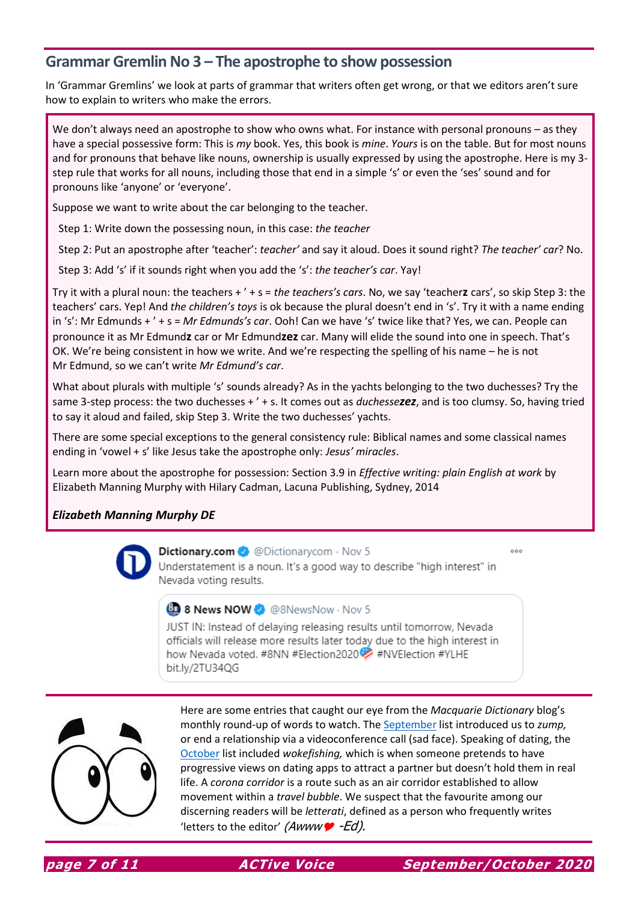### **Grammar Gremlin No 3 – The apostrophe to show possession**

In 'Grammar Gremlins' we look at parts of grammar that writers often get wrong, or that we editors aren't sure how to explain to writers who make the errors.

We don't always need an apostrophe to show who owns what. For instance with personal pronouns - as they have a special possessive form: This is *my* book. Yes, this book is *mine*. *Yours* is on the table. But for most nouns and for pronouns that behave like nouns, ownership is usually expressed by using the apostrophe. Here is my 3 step rule that works for all nouns, including those that end in a simple 's' or even the 'ses' sound and for pronouns like 'anyone' or 'everyone'.

Suppose we want to write about the car belonging to the teacher.

Step 1: Write down the possessing noun, in this case: *the teacher*

Step 2: Put an apostrophe after 'teacher': *teacher'* and say it aloud. Does it sound right? *The teacher' car*? No.

Step 3: Add 's' if it sounds right when you add the 's': *the teacher's car*. Yay!

Try it with a plural noun: the teachers + ' + s = *the teachers's cars*. No, we say 'teacher**z** cars', so skip Step 3: the teachers' cars. Yep! And *the children's toys* is ok because the plural doesn't end in 's'. Try it with a name ending in 's': Mr Edmunds + ' + s = *Mr Edmunds's car*. Ooh! Can we have 's' twice like that? Yes, we can. People can pronounce it as Mr Edmund**z** car or Mr Edmund**zez** car. Many will elide the sound into one in speech. That's OK. We're being consistent in how we write. And we're respecting the spelling of his name – he is not Mr Edmund, so we can't write *Mr Edmund's car*.

What about plurals with multiple 's' sounds already? As in the yachts belonging to the two duchesses? Try the same 3-step process: the two duchesses + ' + s. It comes out as *duchessezez*, and is too clumsy. So, having tried to say it aloud and failed, skip Step 3. Write the two duchesses' yachts.

There are some special exceptions to the general consistency rule: Biblical names and some classical names ending in 'vowel + s' like Jesus take the apostrophe only: *Jesus' miracles*.

Learn more about the apostrophe for possession: Section 3.9 in *Effective writing: plain English at work* by Elizabeth Manning Murphy with Hilary Cadman, Lacuna Publishing, Sydney, 2014

### *Elizabeth Manning Murphy DE*



Dictionary.com <br>
© Dictionary.com + Nov 5 Understatement is a noun. It's a good way to describe "high interest" in Nevada voting results.

### **B** 8 News NOW **O** @8NewsNow · Nov 5

JUST IN: Instead of delaying releasing results until tomorrow, Nevada officials will release more results later today due to the high interest in how Nevada voted. #8NN #Election2020 #NVElection #YLHE bit.ly/2TU34QG



Here are some entries that caught our eye from the *Macquarie Dictionary* blog's monthly round-up of words to watch. The [September](https://www.macquariedictionary.com.au/blog/article/734/) list introduced us to *zump,* or end a relationship via a videoconference call (sad face). Speaking of dating, the [October](https://www.macquariedictionary.com.au/blog/article/742/) list included *wokefishing,* which is when someone pretends to have progressive views on dating apps to attract a partner but doesn't hold them in real life. A *corona corridor* is a route such as an air corridor established to allow movement within a *travel bubble*. We suspect that the favourite among our discerning readers will be *letterati*, defined as a person who frequently writes 'letters to the editor' (Awww $\bullet$  -Ed).

 $000$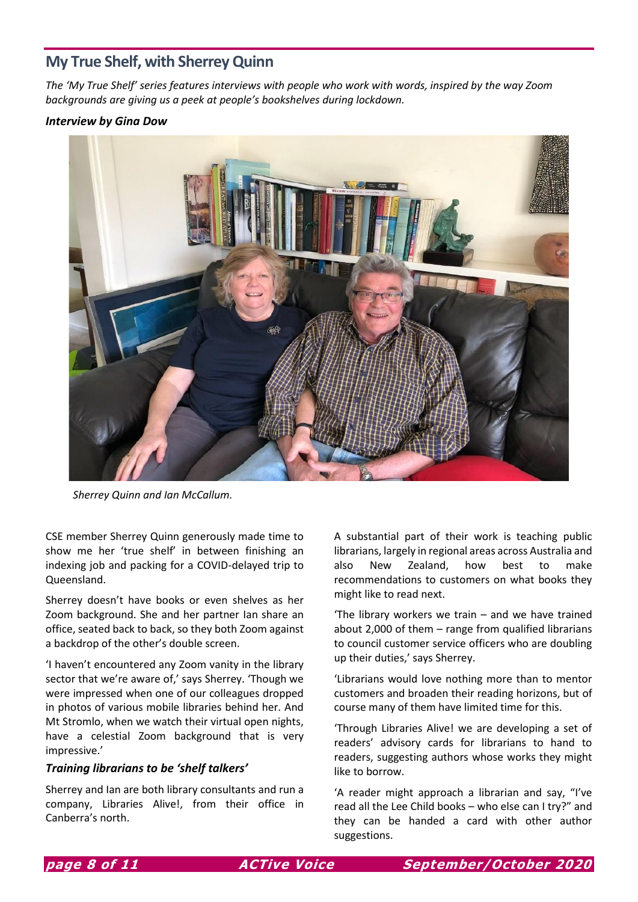### **My True Shelf, with Sherrey Quinn**

*The 'My True Shelf' series features interviews with people who work with words, inspired by the way Zoom backgrounds are giving us a peek at people's bookshelves during lockdown.* 

### *Interview by Gina Dow*



*Sherrey Quinn and Ian McCallum.*

CSE member Sherrey Quinn generously made time to show me her 'true shelf' in between finishing an indexing job and packing for a COVID-delayed trip to Queensland.

Sherrey doesn't have books or even shelves as her Zoom background. She and her partner Ian share an office, seated back to back, so they both Zoom against a backdrop of the other's double screen.

'I haven't encountered any Zoom vanity in the library sector that we're aware of,' says Sherrey. 'Though we were impressed when one of our colleagues dropped in photos of various mobile libraries behind her. And Mt Stromlo, when we watch their virtual open nights, have a celestial Zoom background that is very impressive.'

#### *Training librarians to be 'shelf talkers'*

Sherrey and Ian are both library consultants and run a company, Libraries Alive!, from their office in Canberra's north.

A substantial part of their work is teaching public librarians, largely in regional areas across Australia and also New Zealand, how best to make recommendations to customers on what books they might like to read next.

'The library workers we train – and we have trained about 2,000 of them – range from qualified librarians to council customer service officers who are doubling up their duties,' says Sherrey.

'Librarians would love nothing more than to mentor customers and broaden their reading horizons, but of course many of them have limited time for this.

'Through Libraries Alive! we are developing a set of readers' advisory cards for librarians to hand to readers, suggesting authors whose works they might like to borrow.

'A reader might approach a librarian and say, "I've read all the Lee Child books – who else can I try?" and they can be handed a card with other author suggestions.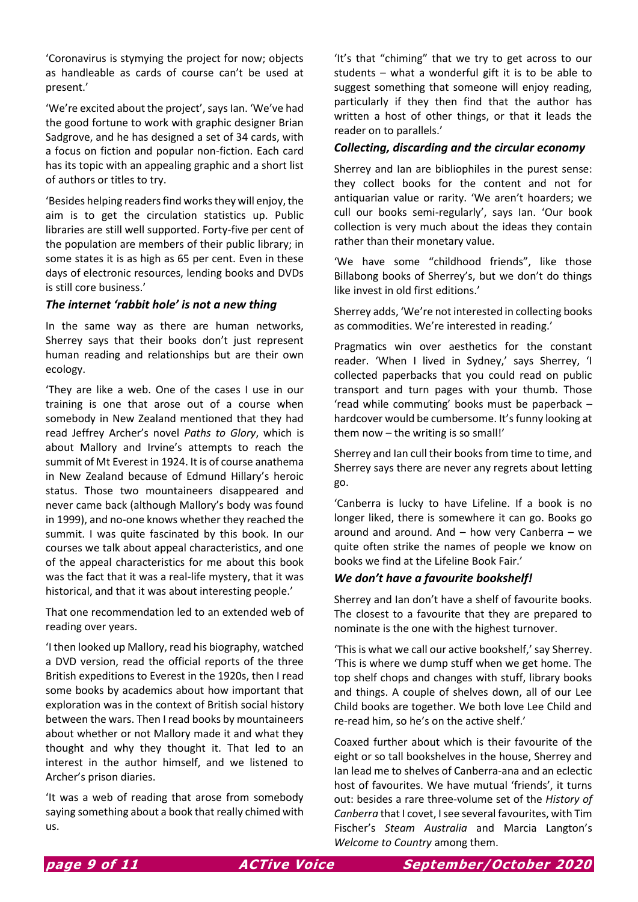'Coronavirus is stymying the project for now; objects as handleable as cards of course can't be used at present.'

'We're excited about the project', says Ian. 'We've had the good fortune to work with graphic designer Brian Sadgrove, and he has designed a set of 34 cards, with a focus on fiction and popular non-fiction. Each card has its topic with an appealing graphic and a short list of authors or titles to try.

'Besides helping readers find works they will enjoy, the aim is to get the circulation statistics up. Public libraries are still well supported. Forty-five per cent of the population are members of their public library; in some states it is as high as 65 per cent. Even in these days of electronic resources, lending books and DVDs is still core business.'

### *The internet 'rabbit hole' is not a new thing*

In the same way as there are human networks, Sherrey says that their books don't just represent human reading and relationships but are their own ecology.

'They are like a web. One of the cases I use in our training is one that arose out of a course when somebody in New Zealand mentioned that they had read Jeffrey Archer's novel *Paths to Glory*, which is about Mallory and Irvine's attempts to reach the summit of Mt Everest in 1924. It is of course anathema in New Zealand because of Edmund Hillary's heroic status. Those two mountaineers disappeared and never came back (although Mallory's body was found in 1999), and no-one knows whether they reached the summit. I was quite fascinated by this book. In our courses we talk about appeal characteristics, and one of the appeal characteristics for me about this book was the fact that it was a real-life mystery, that it was historical, and that it was about interesting people.'

That one recommendation led to an extended web of reading over years.

'I then looked up Mallory, read his biography, watched a DVD version, read the official reports of the three British expeditions to Everest in the 1920s, then I read some books by academics about how important that exploration was in the context of British social history between the wars. Then I read books by mountaineers about whether or not Mallory made it and what they thought and why they thought it. That led to an interest in the author himself, and we listened to Archer's prison diaries.

'It was a web of reading that arose from somebody saying something about a book that really chimed with us.

'It's that "chiming" that we try to get across to our students – what a wonderful gift it is to be able to suggest something that someone will enjoy reading, particularly if they then find that the author has written a host of other things, or that it leads the reader on to parallels.'

### *Collecting, discarding and the circular economy*

Sherrey and Ian are bibliophiles in the purest sense: they collect books for the content and not for antiquarian value or rarity. 'We aren't hoarders; we cull our books semi-regularly', says Ian. 'Our book collection is very much about the ideas they contain rather than their monetary value.

'We have some "childhood friends", like those Billabong books of Sherrey's, but we don't do things like invest in old first editions.'

Sherrey adds, 'We're not interested in collecting books as commodities. We're interested in reading.'

Pragmatics win over aesthetics for the constant reader. 'When I lived in Sydney,' says Sherrey, 'I collected paperbacks that you could read on public transport and turn pages with your thumb. Those 'read while commuting' books must be paperback – hardcover would be cumbersome. It's funny looking at them now – the writing is so small!'

Sherrey and Ian cull their books from time to time, and Sherrey says there are never any regrets about letting go.

'Canberra is lucky to have Lifeline. If a book is no longer liked, there is somewhere it can go. Books go around and around. And – how very Canberra – we quite often strike the names of people we know on books we find at the Lifeline Book Fair.'

### *We don't have a favourite bookshelf!*

Sherrey and Ian don't have a shelf of favourite books. The closest to a favourite that they are prepared to nominate is the one with the highest turnover.

'This is what we call our active bookshelf,' say Sherrey. 'This is where we dump stuff when we get home. The top shelf chops and changes with stuff, library books and things. A couple of shelves down, all of our Lee Child books are together. We both love Lee Child and re-read him, so he's on the active shelf.'

Coaxed further about which is their favourite of the eight or so tall bookshelves in the house, Sherrey and Ian lead me to shelves of Canberra-ana and an eclectic host of favourites. We have mutual 'friends', it turns out: besides a rare three-volume set of the *History of Canberra* that I covet, I see several favourites, with Tim Fischer's *Steam Australia* and Marcia Langton's *Welcome to Country* among them.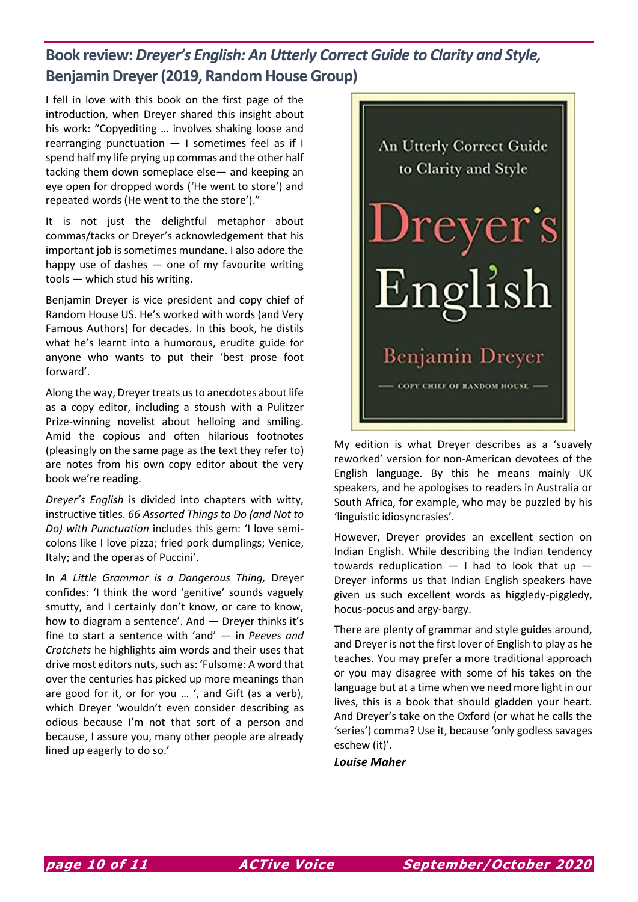# **Book review:** *Dreyer's English: An Utterly Correct Guide to Clarity and Style,*  **Benjamin Dreyer (2019, Random House Group)**

I fell in love with this book on the first page of the introduction, when Dreyer shared this insight about his work: "Copyediting … involves shaking loose and rearranging punctuation — I sometimes feel as if I spend half my life prying up commas and the other half tacking them down someplace else— and keeping an eye open for dropped words ('He went to store') and repeated words (He went to the the store')."

It is not just the delightful metaphor about commas/tacks or Dreyer's acknowledgement that his important job is sometimes mundane. I also adore the happy use of dashes  $-$  one of my favourite writing tools — which stud his writing.

Benjamin Dreyer is vice president and copy chief of Random House US. He's worked with words (and Very Famous Authors) for decades. In this book, he distils what he's learnt into a humorous, erudite guide for anyone who wants to put their 'best prose foot forward'.

Along the way, Dreyer treats us to anecdotes about life as a copy editor, including a stoush with a Pulitzer Prize-winning novelist about helloing and smiling. Amid the copious and often hilarious footnotes (pleasingly on the same page as the text they refer to) are notes from his own copy editor about the very book we're reading.

*Dreyer's English* is divided into chapters with witty, instructive titles. *66 Assorted Things to Do (and Not to Do) with Punctuation* includes this gem: 'I love semicolons like I love pizza; fried pork dumplings; Venice, Italy; and the operas of Puccini'.

In *A Little Grammar is a Dangerous Thing,* Dreyer confides: 'I think the word 'genitive' sounds vaguely smutty, and I certainly don't know, or care to know, how to diagram a sentence'. And — Dreyer thinks it's fine to start a sentence with 'and' — in *Peeves and Crotchets* he highlights aim words and their uses that drive most editors nuts, such as: 'Fulsome: A word that over the centuries has picked up more meanings than are good for it, or for you … ', and Gift (as a verb), which Dreyer 'wouldn't even consider describing as odious because I'm not that sort of a person and because, I assure you, many other people are already lined up eagerly to do so.'



My edition is what Dreyer describes as a 'suavely reworked' version for non-American devotees of the English language. By this he means mainly UK speakers, and he apologises to readers in Australia or South Africa, for example, who may be puzzled by his 'linguistic idiosyncrasies'.

However, Dreyer provides an excellent section on Indian English. While describing the Indian tendency towards reduplication  $-$  I had to look that up  $-$ Dreyer informs us that Indian English speakers have given us such excellent words as higgledy-piggledy, hocus-pocus and argy-bargy.

There are plenty of grammar and style guides around, and Dreyer is not the first lover of English to play as he teaches. You may prefer a more traditional approach or you may disagree with some of his takes on the language but at a time when we need more light in our lives, this is a book that should gladden your heart. And Dreyer's take on the Oxford (or what he calls the 'series') comma? Use it, because 'only godless savages eschew (it)'.

*Louise Maher*